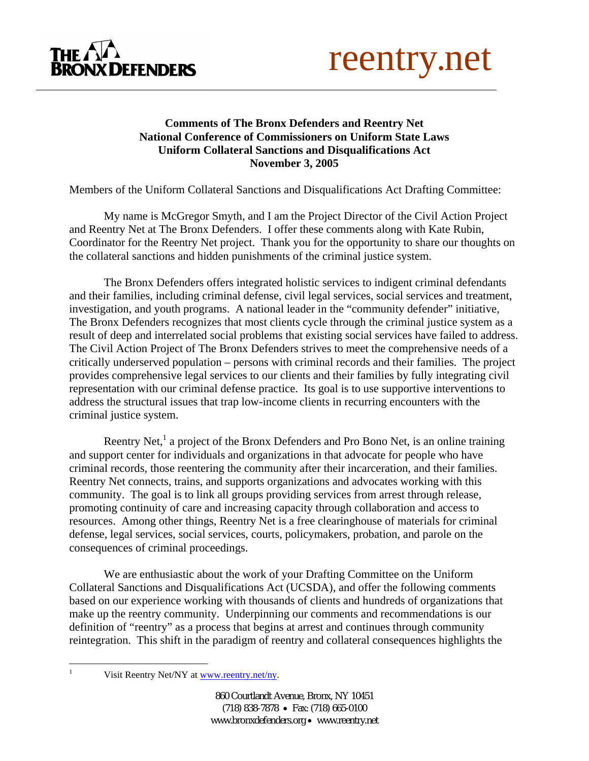



## **Comments of The Bronx Defenders and Reentry Net National Conference of Commissioners on Uniform State Laws Uniform Collateral Sanctions and Disqualifications Act November 3, 2005**

Members of the Uniform Collateral Sanctions and Disqualifications Act Drafting Committee:

My name is McGregor Smyth, and I am the Project Director of the Civil Action Project and Reentry Net at The Bronx Defenders. I offer these comments along with Kate Rubin, Coordinator for the Reentry Net project. Thank you for the opportunity to share our thoughts on the collateral sanctions and hidden punishments of the criminal justice system.

The Bronx Defenders offers integrated holistic services to indigent criminal defendants and their families, including criminal defense, civil legal services, social services and treatment, investigation, and youth programs. A national leader in the "community defender" initiative, The Bronx Defenders recognizes that most clients cycle through the criminal justice system as a result of deep and interrelated social problems that existing social services have failed to address. The Civil Action Project of The Bronx Defenders strives to meet the comprehensive needs of a critically underserved population – persons with criminal records and their families. The project provides comprehensive legal services to our clients and their families by fully integrating civil representation with our criminal defense practice. Its goal is to use supportive interventions to address the structural issues that trap low-income clients in recurring encounters with the criminal justice system.

Reentry Net,<sup>1</sup> a project of the Bronx Defenders and Pro Bono Net, is an online training and support center for individuals and organizations in that advocate for people who have criminal records, those reentering the community after their incarceration, and their families. Reentry Net connects, trains, and supports organizations and advocates working with this community. The goal is to link all groups providing services from arrest through release, promoting continuity of care and increasing capacity through collaboration and access to resources. Among other things, Reentry Net is a free clearinghouse of materials for criminal defense, legal services, social services, courts, policymakers, probation, and parole on the consequences of criminal proceedings.

We are enthusiastic about the work of your Drafting Committee on the Uniform Collateral Sanctions and Disqualifications Act (UCSDA), and offer the following comments based on our experience working with thousands of clients and hundreds of organizations that make up the reentry community. Underpinning our comments and recommendations is our definition of "reentry" as a process that begins at arrest and continues through community reintegration. This shift in the paradigm of reentry and collateral consequences highlights the

<span id="page-0-0"></span> $\frac{1}{1}$ 

Visit Reentry Net/NY at [www.reentry.net/ny.](http://www.reentry.net/ny)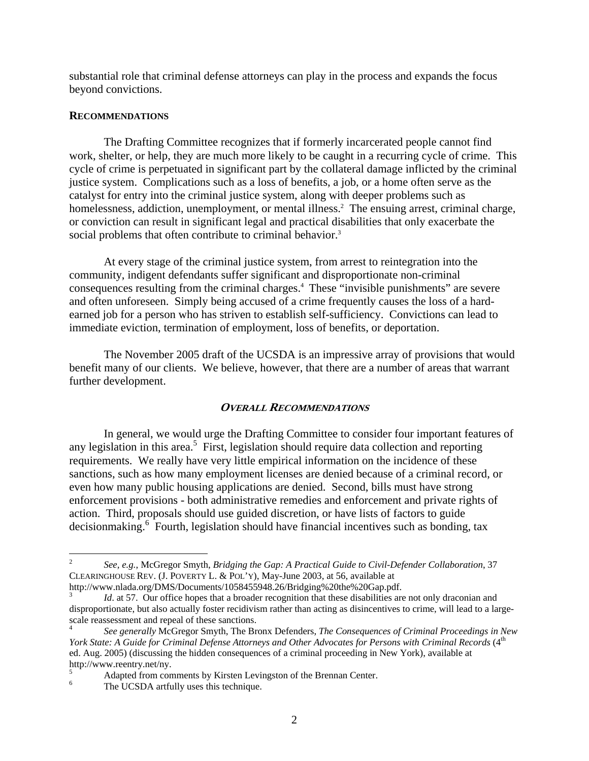substantial role that criminal defense attorneys can play in the process and expands the focus beyond convictions.

#### **RECOMMENDATIONS**

The Drafting Committee recognizes that if formerly incarcerated people cannot find work, shelter, or help, they are much more likely to be caught in a recurring cycle of crime. This cycle of crime is perpetuated in significant part by the collateral damage inflicted by the criminal justice system. Complications such as a loss of benefits, a job, or a home often serve as the catalyst for entry into the criminal justice system, along with deeper problems such as homelessness, addiction, unemployment, or mental illness.<sup>2</sup> The ensuing arrest, criminal charge, or conviction can result in significant legal and practical disabilities that only exacerbate the social problems that often contribute to criminal behavior.<sup>3</sup>

At every stage of the criminal justice system, from arrest to reintegration into the community, indigent defendants suffer significant and disproportionate non-criminal consequences resulting from the criminal charges.[4](#page-1-2) These "invisible punishments" are severe and often unforeseen. Simply being accused of a crime frequently causes the loss of a hardearned job for a person who has striven to establish self-sufficiency. Convictions can lead to immediate eviction, termination of employment, loss of benefits, or deportation.

The November 2005 draft of the UCSDA is an impressive array of provisions that would benefit many of our clients. We believe, however, that there are a number of areas that warrant further development.

### **OVERALL RECOMMENDATIONS**

In general, we would urge the Drafting Committee to consider four important features of any legislation in this area.<sup>[5](#page-1-3)</sup> First, legislation should require data collection and reporting requirements. We really have very little empirical information on the incidence of these sanctions, such as how many employment licenses are denied because of a criminal record, or even how many public housing applications are denied. Second, bills must have strong enforcement provisions - both administrative remedies and enforcement and private rights of action. Third, proposals should use guided discretion, or have lists of factors to guide decisionmaking.<sup>[6](#page-1-4)</sup> Fourth, legislation should have financial incentives such as bonding, tax

 $\overline{a}$ 

<span id="page-1-0"></span><sup>2</sup> *See, e.g.*, McGregor Smyth, *Bridging the Gap: A Practical Guide to Civil-Defender Collaboration*, 37 CLEARINGHOUSE REV. (J. POVERTY L. & POL'Y), May-June 2003, at 56, available at

http://www.nlada.org/DMS/Documents/1058455948.26/Bridging%20the%20Gap.pdf. 3

<span id="page-1-1"></span>*Id.* at 57. Our office hopes that a broader recognition that these disabilities are not only draconian and disproportionate, but also actually foster recidivism rather than acting as disincentives to crime, will lead to a largescale reassessment and repeal of these sanctions.<br><sup>4</sup> *See generally* McGregor Smyth, The Bronx Defenders, *The Consequences of Criminal Proceedings in New* 

<span id="page-1-2"></span>*York State: A Guide for Criminal Defense Attorneys and Other Advocates for Persons with Criminal Records* (4<sup>th</sup> ed. Aug. 2005) (discussing the hidden consequences of a criminal proceeding in New York), available at http://www.reentry.net/ny. 5

<span id="page-1-3"></span> $A$ dapted from comments by Kirsten Levingston of the Brennan Center.

<span id="page-1-4"></span>The UCSDA artfully uses this technique.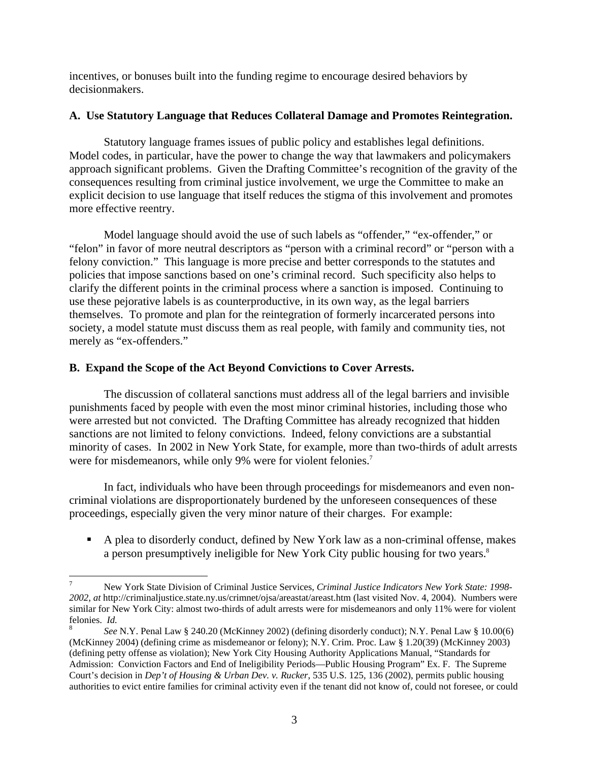<span id="page-2-1"></span>incentives, or bonuses built into the funding regime to encourage desired behaviors by decisionmakers.

## **A. Use Statutory Language that Reduces Collateral Damage and Promotes Reintegration.**

Statutory language frames issues of public policy and establishes legal definitions. Model codes, in particular, have the power to change the way that lawmakers and policymakers approach significant problems. Given the Drafting Committee's recognition of the gravity of the consequences resulting from criminal justice involvement, we urge the Committee to make an explicit decision to use language that itself reduces the stigma of this involvement and promotes more effective reentry.

Model language should avoid the use of such labels as "offender," "ex-offender," or "felon" in favor of more neutral descriptors as "person with a criminal record" or "person with a felony conviction." This language is more precise and better corresponds to the statutes and policies that impose sanctions based on one's criminal record. Such specificity also helps to clarify the different points in the criminal process where a sanction is imposed. Continuing to use these pejorative labels is as counterproductive, in its own way, as the legal barriers themselves. To promote and plan for the reintegration of formerly incarcerated persons into society, a model statute must discuss them as real people, with family and community ties, not merely as "ex-offenders."

## **B. Expand the Scope of the Act Beyond Convictions to Cover Arrests.**

The discussion of collateral sanctions must address all of the legal barriers and invisible punishments faced by people with even the most minor criminal histories, including those who were arrested but not convicted. The Drafting Committee has already recognized that hidden sanctions are not limited to felony convictions. Indeed, felony convictions are a substantial minority of cases. In 2002 in New York State, for example, more than two-thirds of adult arrests were for misdemeanors, while only 9% were for violent felonies.<sup>7</sup>

In fact, individuals who have been through proceedings for misdemeanors and even noncriminal violations are disproportionately burdened by the unforeseen consequences of these proceedings, especially given the very minor nature of their charges. For example:

! A plea to disorderly conduct, defined by New York law as a non-criminal offense, makes a person presumptively ineligible for New York City public housing for two years.<sup>[8](#page-2-1)</sup>

<span id="page-2-0"></span><sup>1</sup> 7 New York State Division of Criminal Justice Services, *Criminal Justice Indicators New York State: 1998- 2002*, *at* http://criminaljustice.state.ny.us/crimnet/ojsa/areastat/areast.htm (last visited Nov. 4, 2004). Numbers were similar for New York City: almost two-thirds of adult arrests were for misdemeanors and only 11% were for violent felonies. *Id.* 

*See* N.Y. Penal Law § 240.20 (McKinney 2002) (defining disorderly conduct); N.Y. Penal Law § 10.00(6) (McKinney 2004) (defining crime as misdemeanor or felony); N.Y. Crim. Proc. Law § 1.20(39) (McKinney 2003) (defining petty offense as violation); New York City Housing Authority Applications Manual, "Standards for Admission: Conviction Factors and End of Ineligibility Periods—Public Housing Program" Ex. F. The Supreme Court's decision in *Dep't of Housing & Urban Dev. v. Rucker*, 535 U.S. 125, 136 (2002), permits public housing authorities to evict entire families for criminal activity even if the tenant did not know of, could not foresee, or could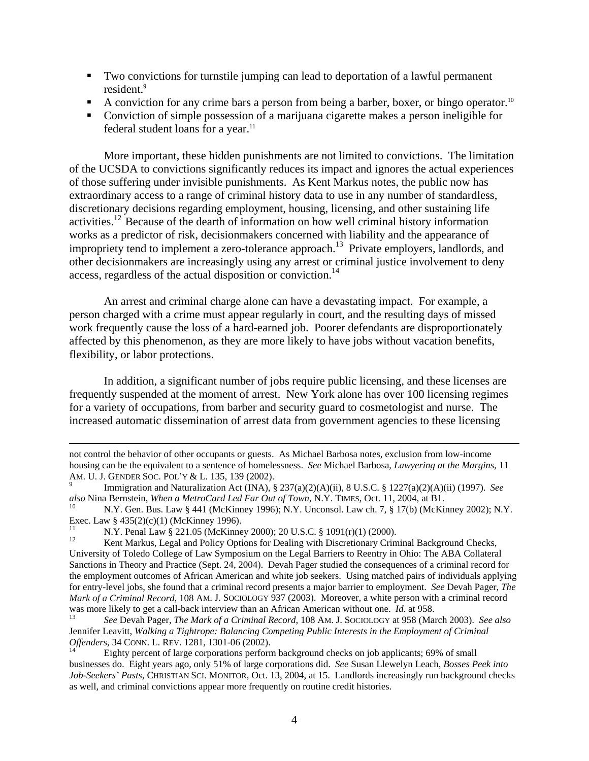- ! Two convictions for turnstile jumping can lead to deportation of a lawful permanent resident.<sup>9</sup>
- $\blacksquare$  A conviction for any crime bars a person from being a barber, boxer, or bingo operator.<sup>[10](#page-3-1)</sup>
- ! Conviction of simple possession of a marijuana cigarette makes a person ineligible for federal student loans for a year. $11$

More important, these hidden punishments are not limited to convictions. The limitation of the UCSDA to convictions significantly reduces its impact and ignores the actual experiences of those suffering under invisible punishments. As Kent Markus notes, the public now has extraordinary access to a range of criminal history data to use in any number of standardless, discretionary decisions regarding employment, housing, licensing, and other sustaining life activities[.12](#page-3-3) Because of the dearth of information on how well criminal history information works as a predictor of risk, decisionmakers concerned with liability and the appearance of impropriety tend to implement a zero-tolerance approach.<sup>13</sup> Private employers, landlords, and other decisionmakers are increasingly using any arrest or criminal justice involvement to deny access, regardless of the actual disposition or conviction.<sup>[14](#page-3-5)</sup>

An arrest and criminal charge alone can have a devastating impact. For example, a person charged with a crime must appear regularly in court, and the resulting days of missed work frequently cause the loss of a hard-earned job. Poorer defendants are disproportionately affected by this phenomenon, as they are more likely to have jobs without vacation benefits, flexibility, or labor protections.

In addition, a significant number of jobs require public licensing, and these licenses are frequently suspended at the moment of arrest. New York alone has over 100 licensing regimes for a variety of occupations, from barber and security guard to cosmetologist and nurse. The increased automatic dissemination of arrest data from government agencies to these licensing

not control the behavior of other occupants or guests. As Michael Barbosa notes, exclusion from low-income housing can be the equivalent to a sentence of homelessness. *See* Michael Barbosa, *Lawyering at the Margins*, 11 AM. U. J. GENDER SOC. POL'Y & L. 135, 139 (2002). 9

<span id="page-3-0"></span>Immigration and Naturalization Act (INA), § 237(a)(2)(A)(ii), 8 U.S.C. § 1227(a)(2)(A)(ii) (1997). *See also* Nina Bernstein, *When a MetroCard Led Far Out of Town*, N.Y. TIMES, Oct. 11, 2004, at B1.<br><sup>10</sup> N.Y. Gen. Bus. Law § 441 (McKinney 1996); N.Y. Unconsol. Law ch. 7, § 17(b) (McKinney 2002); N.Y.

<span id="page-3-1"></span>Exec. Law § 435(2)(c)(1) (McKinney 1996).<br>
11 N.Y. Penal Law § 221.05 (McKinney 2000); 20 U.S.C. § 1091(r)(1) (2000).<br>
12 Kent Markus, Legal and Policy Options for Dealing with Discretionary Criminal Background Checks,

<span id="page-3-3"></span><span id="page-3-2"></span>

University of Toledo College of Law Symposium on the Legal Barriers to Reentry in Ohio: The ABA Collateral Sanctions in Theory and Practice (Sept. 24, 2004). Devah Pager studied the consequences of a criminal record for the employment outcomes of African American and white job seekers. Using matched pairs of individuals applying for entry-level jobs, she found that a criminal record presents a major barrier to employment. *See* Devah Pager, *The Mark of a Criminal Record*, 108 AM. J. SOCIOLOGY 937 (2003). Moreover, a white person with a criminal record was more likely to get a call-back interview than an African American without one. *Id.* at 958.<br><sup>13</sup> See Devah Pager, *The Mark of a Criminal Record*, 108 AM. J. SOCIOLOGY at 958 (March 2003). See also

<span id="page-3-4"></span>Jennifer Leavitt, *Walking a Tightrope: Balancing Competing Public Interests in the Employment of Criminal Offenders*, 34 CONN. L. REV. 1281, 1301-06 (2002).

<span id="page-3-5"></span>Eighty percent of large corporations perform background checks on job applicants; 69% of small businesses do. Eight years ago, only 51% of large corporations did. *See* Susan Llewelyn Leach, *Bosses Peek into Job-Seekers' Pasts*, CHRISTIAN SCI. MONITOR, Oct. 13, 2004, at 15. Landlords increasingly run background checks as well, and criminal convictions appear more frequently on routine credit histories.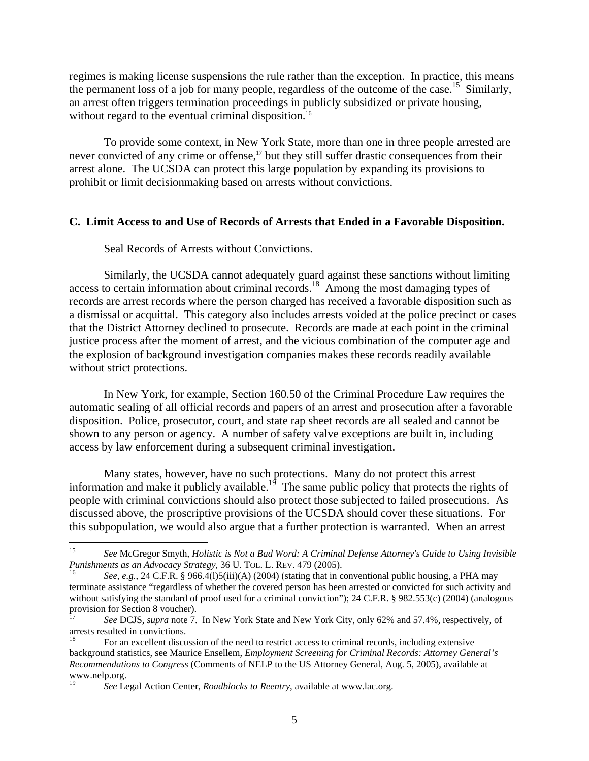regimes is making license suspensions the rule rather than the exception. In practice, this means the permanent loss of a job for many people, regardless of the outcome of the case.<sup>15</sup> Similarly, an arrest often triggers termination proceedings in publicly subsidized or private housing, without regard to the eventual criminal disposition.<sup>16</sup>

To provide some context, in New York State, more than one in three people arrested are never convicted of any crime or offense,<sup>17</sup> but they still suffer drastic consequences from their arrest alone. The UCSDA can protect this large population by expanding its provisions to prohibit or limit decisionmaking based on arrests without convictions.

#### **C. Limit Access to and Use of Records of Arrests that Ended in a Favorable Disposition.**

#### Seal Records of Arrests without Convictions.

Similarly, the UCSDA cannot adequately guard against these sanctions without limiting access to certain information about criminal records.<sup>18</sup> Among the most damaging types of records are arrest records where the person charged has received a favorable disposition such as a dismissal or acquittal. This category also includes arrests voided at the police precinct or cases that the District Attorney declined to prosecute. Records are made at each point in the criminal justice process after the moment of arrest, and the vicious combination of the computer age and the explosion of background investigation companies makes these records readily available without strict protections.

In New York, for example, Section 160.50 of the Criminal Procedure Law requires the automatic sealing of all official records and papers of an arrest and prosecution after a favorable disposition. Police, prosecutor, court, and state rap sheet records are all sealed and cannot be shown to any person or agency. A number of safety valve exceptions are built in, including access by law enforcement during a subsequent criminal investigation.

Many states, however, have no such protections. Many do not protect this arrest information and make it publicly available.<sup>19</sup> The same public policy that protects the rights of people with criminal convictions should also protect those subjected to failed prosecutions. As discussed above, the proscriptive provisions of the UCSDA should cover these situations. For this subpopulation, we would also argue that a further protection is warranted. When an arrest

<span id="page-4-0"></span><sup>15</sup> 15 *See* McGregor Smyth, *Holistic is Not a Bad Word: A Criminal Defense Attorney's Guide to Using Invisible Punishments as an Advocacy Strategy*, 36 U. TOL. L. REV. 479 (2005).<br><sup>16</sup> *See*, *e.g.*, 24 C.F.R. § 966.4(1)5(iii)(A) (2004) (stating that in conventional public housing, a PHA may

<span id="page-4-1"></span>terminate assistance "regardless of whether the covered person has been arrested or convicted for such activity and without satisfying the standard of proof used for a criminal conviction"); 24 C.F.R. § 982.553(c) (2004) (analogous provision for Section 8 voucher).

<span id="page-4-2"></span>*See* DCJS, *supra* note 7. In New York State and New York City, only 62% and 57.4%, respectively, of arrests resulted in convictions.<br><sup>18</sup> For an excellent discussion of the need to restrict access to criminal records, including extensive

<span id="page-4-3"></span>background statistics, see Maurice Ensellem, *Employment Screening for Criminal Records: Attorney General's Recommendations to Congress* (Comments of NELP to the US Attorney General, Aug. 5, 2005), available at www.nelp.org.<br><sup>19</sup>See Legal Action Center, *Roadblocks to Reentry*, available at www.lac.org.

<span id="page-4-4"></span>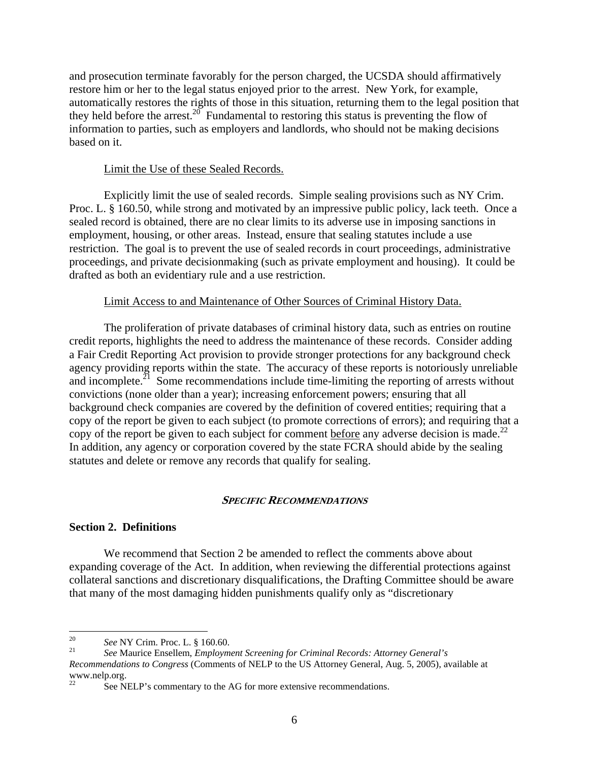and prosecution terminate favorably for the person charged, the UCSDA should affirmatively restore him or her to the legal status enjoyed prior to the arrest. New York, for example, automatically restores the rights of those in this situation, returning them to the legal position that they held before the arrest.<sup>20</sup> Fundamental to restoring this status is preventing the flow of information to parties, such as employers and landlords, who should not be making decisions based on it.

#### Limit the Use of these Sealed Records.

Explicitly limit the use of sealed records. Simple sealing provisions such as NY Crim. Proc. L. § 160.50, while strong and motivated by an impressive public policy, lack teeth. Once a sealed record is obtained, there are no clear limits to its adverse use in imposing sanctions in employment, housing, or other areas. Instead, ensure that sealing statutes include a use restriction. The goal is to prevent the use of sealed records in court proceedings, administrative proceedings, and private decisionmaking (such as private employment and housing). It could be drafted as both an evidentiary rule and a use restriction.

#### Limit Access to and Maintenance of Other Sources of Criminal History Data.

The proliferation of private databases of criminal history data, such as entries on routine credit reports, highlights the need to address the maintenance of these records. Consider adding a Fair Credit Reporting Act provision to provide stronger protections for any background check agency providing reports within the state. The accuracy of these reports is notoriously unreliable and incomplete.<sup> $21$ </sup> Some recommendations include time-limiting the reporting of arrests without convictions (none older than a year); increasing enforcement powers; ensuring that all background check companies are covered by the definition of covered entities; requiring that a copy of the report be given to each subject (to promote corrections of errors); and requiring that a copy of the report be given to each subject for comment before any adverse decision is made.<sup>22</sup> In addition, any agency or corporation covered by the state FCRA should abide by the sealing statutes and delete or remove any records that qualify for sealing.

#### **SPECIFIC RECOMMENDATIONS**

#### **Section 2. Definitions**

We recommend that Section 2 be amended to reflect the comments above about expanding coverage of the Act. In addition, when reviewing the differential protections against collateral sanctions and discretionary disqualifications, the Drafting Committee should be aware that many of the most damaging hidden punishments qualify only as "discretionary

<span id="page-5-0"></span><sup>20</sup> 

<span id="page-5-1"></span><sup>20</sup>*See* NY Crim. Proc. L. § 160.60. 21 *See* Maurice Ensellem, *Employment Screening for Criminal Records: Attorney General's Recommendations to Congress* (Comments of NELP to the US Attorney General, Aug. 5, 2005), available at www.nelp.org.<br><sup>22</sup>

<span id="page-5-2"></span>See NELP's commentary to the AG for more extensive recommendations.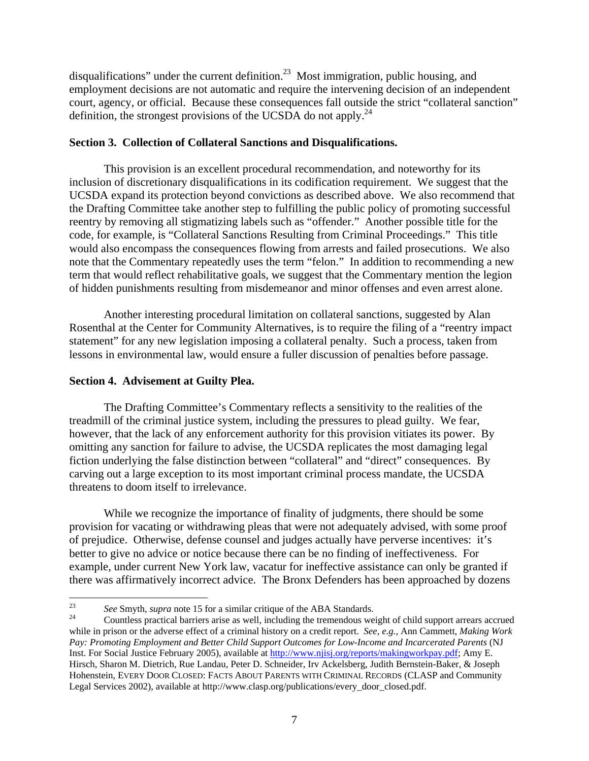disqualifications" under the current definition.<sup>23</sup> Most immigration, public housing, and employment decisions are not automatic and require the intervening decision of an independent court, agency, or official. Because these consequences fall outside the strict "collateral sanction" definition, the strongest provisions of the UCSDA do not apply.<sup>[24](#page-6-1)</sup>

### **Section 3. Collection of Collateral Sanctions and Disqualifications.**

This provision is an excellent procedural recommendation, and noteworthy for its inclusion of discretionary disqualifications in its codification requirement. We suggest that the UCSDA expand its protection beyond convictions as described above. We also recommend that the Drafting Committee take another step to fulfilling the public policy of promoting successful reentry by removing all stigmatizing labels such as "offender." Another possible title for the code, for example, is "Collateral Sanctions Resulting from Criminal Proceedings." This title would also encompass the consequences flowing from arrests and failed prosecutions. We also note that the Commentary repeatedly uses the term "felon." In addition to recommending a new term that would reflect rehabilitative goals, we suggest that the Commentary mention the legion of hidden punishments resulting from misdemeanor and minor offenses and even arrest alone.

Another interesting procedural limitation on collateral sanctions, suggested by Alan Rosenthal at the Center for Community Alternatives, is to require the filing of a "reentry impact statement" for any new legislation imposing a collateral penalty. Such a process, taken from lessons in environmental law, would ensure a fuller discussion of penalties before passage.

## **Section 4. Advisement at Guilty Plea.**

The Drafting Committee's Commentary reflects a sensitivity to the realities of the treadmill of the criminal justice system, including the pressures to plead guilty. We fear, however, that the lack of any enforcement authority for this provision vitiates its power. By omitting any sanction for failure to advise, the UCSDA replicates the most damaging legal fiction underlying the false distinction between "collateral" and "direct" consequences. By carving out a large exception to its most important criminal process mandate, the UCSDA threatens to doom itself to irrelevance.

While we recognize the importance of finality of judgments, there should be some provision for vacating or withdrawing pleas that were not adequately advised, with some proof of prejudice. Otherwise, defense counsel and judges actually have perverse incentives: it's better to give no advice or notice because there can be no finding of ineffectiveness. For example, under current New York law, vacatur for ineffective assistance can only be granted if there was affirmatively incorrect advice. The Bronx Defenders has been approached by dozens

<span id="page-6-0"></span><sup>23</sup> 

<span id="page-6-1"></span><sup>&</sup>lt;sup>23</sup> See Smyth, *supra* note 15 for a similar critique of the ABA Standards.<br><sup>24</sup> Countless practical barriers arise as well, including the tremendous weight of child support arrears accrued while in prison or the adverse effect of a criminal history on a credit report. *See, e.g.*, Ann Cammett, *Making Work Pay: Promoting Employment and Better Child Support Outcomes for Low-Income and Incarcerated Parents* (NJ Inst. For Social Justice February 2005), available at<http://www.njisj.org/reports/makingworkpay.pdf>; Amy E. Hirsch, Sharon M. Dietrich, Rue Landau, Peter D. Schneider, Irv Ackelsberg, Judith Bernstein-Baker, & Joseph Hohenstein, EVERY DOOR CLOSED: FACTS ABOUT PARENTS WITH CRIMINAL RECORDS (CLASP and Community Legal Services 2002), available at http://www.clasp.org/publications/every\_door\_closed.pdf.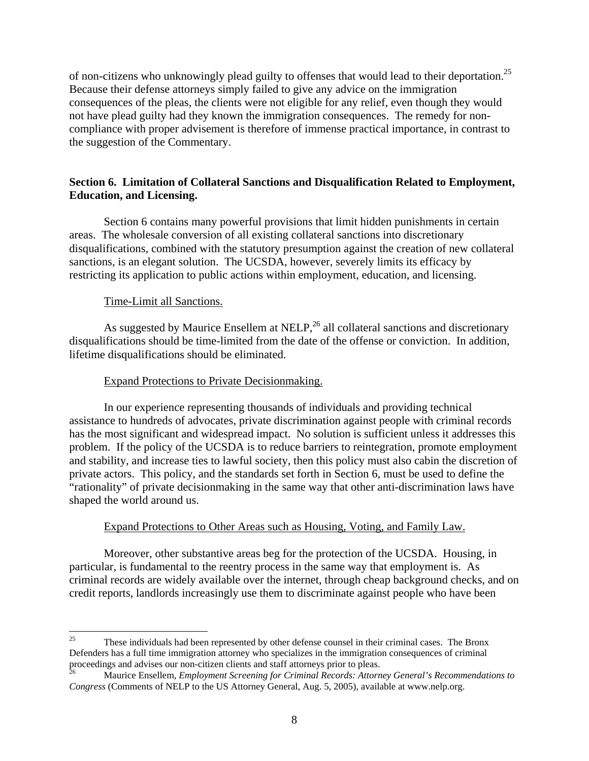of non-citizens who unknowingly plead guilty to offenses that would lead to their deportation.<sup>25</sup> Because their defense attorneys simply failed to give any advice on the immigration consequences of the pleas, the clients were not eligible for any relief, even though they would not have plead guilty had they known the immigration consequences. The remedy for noncompliance with proper advisement is therefore of immense practical importance, in contrast to the suggestion of the Commentary.

## **Section 6. Limitation of Collateral Sanctions and Disqualification Related to Employment, Education, and Licensing.**

Section 6 contains many powerful provisions that limit hidden punishments in certain areas. The wholesale conversion of all existing collateral sanctions into discretionary disqualifications, combined with the statutory presumption against the creation of new collateral sanctions, is an elegant solution. The UCSDA, however, severely limits its efficacy by restricting its application to public actions within employment, education, and licensing.

## Time-Limit all Sanctions.

As suggested by Maurice Ensellem at NELP,<sup>26</sup> all collateral sanctions and discretionary disqualifications should be time-limited from the date of the offense or conviction. In addition, lifetime disqualifications should be eliminated.

## Expand Protections to Private Decisionmaking.

In our experience representing thousands of individuals and providing technical assistance to hundreds of advocates, private discrimination against people with criminal records has the most significant and widespread impact. No solution is sufficient unless it addresses this problem. If the policy of the UCSDA is to reduce barriers to reintegration, promote employment and stability, and increase ties to lawful society, then this policy must also cabin the discretion of private actors. This policy, and the standards set forth in Section 6, must be used to define the "rationality" of private decisionmaking in the same way that other anti-discrimination laws have shaped the world around us.

## Expand Protections to Other Areas such as Housing, Voting, and Family Law.

Moreover, other substantive areas beg for the protection of the UCSDA. Housing, in particular, is fundamental to the reentry process in the same way that employment is. As criminal records are widely available over the internet, through cheap background checks, and on credit reports, landlords increasingly use them to discriminate against people who have been

<span id="page-7-0"></span><sup>25</sup> 25 These individuals had been represented by other defense counsel in their criminal cases. The Bronx Defenders has a full time immigration attorney who specializes in the immigration consequences of criminal proceedings and advises our non-citizen clients and staff attorneys prior to pleas.<br><sup>26</sup> Maurice Ensellem, *Employment Screening for Criminal Records: Attorney General's Recommendations to* 

<span id="page-7-1"></span>*Congress* (Comments of NELP to the US Attorney General, Aug. 5, 2005), available at www.nelp.org.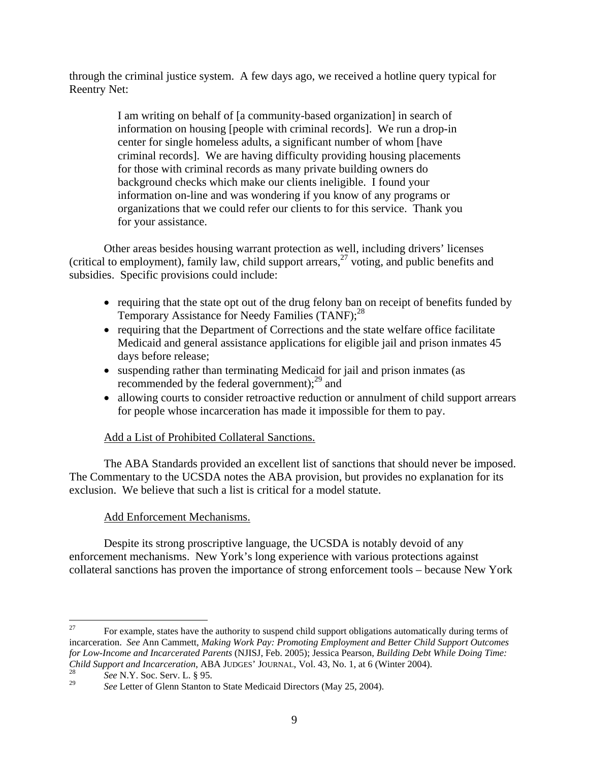through the criminal justice system. A few days ago, we received a hotline query typical for Reentry Net:

> I am writing on behalf of [a community-based organization] in search of information on housing [people with criminal records]. We run a drop-in center for single homeless adults, a significant number of whom [have criminal records]. We are having difficulty providing housing placements for those with criminal records as many private building owners do background checks which make our clients ineligible. I found your information on-line and was wondering if you know of any programs or organizations that we could refer our clients to for this service. Thank you for your assistance.

Other areas besides housing warrant protection as well, including drivers' licenses (critical to employment), family law, child support arrears[,27](#page-8-0) voting, and public benefits and subsidies. Specific provisions could include:

- requiring that the state opt out of the drug felony ban on receipt of benefits funded by Temporary Assistance for Needy Families (TANF);<sup>28</sup>
- requiring that the Department of Corrections and the state welfare office facilitate Medicaid and general assistance applications for eligible jail and prison inmates 45 days before release;
- suspending rather than terminating Medicaid for jail and prison inmates (as recommended by the federal government); $^{29}$  and
- allowing courts to consider retroactive reduction or annulment of child support arrears for people whose incarceration has made it impossible for them to pay.

# Add a List of Prohibited Collateral Sanctions.

The ABA Standards provided an excellent list of sanctions that should never be imposed. The Commentary to the UCSDA notes the ABA provision, but provides no explanation for its exclusion. We believe that such a list is critical for a model statute.

# Add Enforcement Mechanisms.

Despite its strong proscriptive language, the UCSDA is notably devoid of any enforcement mechanisms. New York's long experience with various protections against collateral sanctions has proven the importance of strong enforcement tools – because New York

<span id="page-8-0"></span><sup>27</sup> 27 For example, states have the authority to suspend child support obligations automatically during terms of incarceration. *See* Ann Cammett, *Making Work Pay: Promoting Employment and Better Child Support Outcomes for Low-Income and Incarcerated Parents* (NJISJ, Feb. 2005); Jessica Pearson, *Building Debt While Doing Time: Child Support and Incarceration*, ABA JUDGES' JOURNAL, Vol. 43, No. 1, at 6 (Winter 2004).<br><sup>28</sup> *See* N.Y. Soc. Serv. L. § 95.<br><sup>29</sup> *See* Letter of Glenn Stanton to State Medicaid Directors (May 25, 2004).

<span id="page-8-1"></span>

<span id="page-8-2"></span>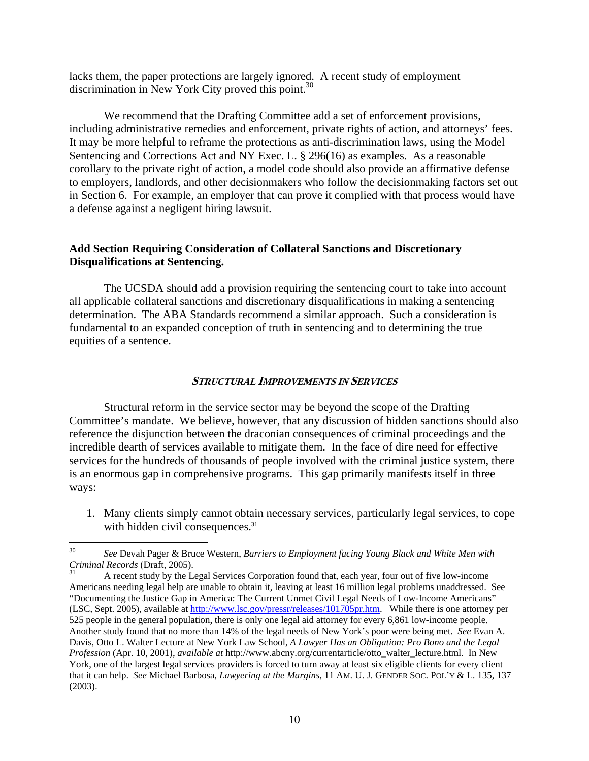lacks them, the paper protections are largely ignored. A recent study of employment discrimination in New York City proved this point.<sup>30</sup>

We recommend that the Drafting Committee add a set of enforcement provisions, including administrative remedies and enforcement, private rights of action, and attorneys' fees. It may be more helpful to reframe the protections as anti-discrimination laws, using the Model Sentencing and Corrections Act and NY Exec. L. § 296(16) as examples. As a reasonable corollary to the private right of action, a model code should also provide an affirmative defense to employers, landlords, and other decisionmakers who follow the decisionmaking factors set out in Section 6. For example, an employer that can prove it complied with that process would have a defense against a negligent hiring lawsuit.

#### **Add Section Requiring Consideration of Collateral Sanctions and Discretionary Disqualifications at Sentencing.**

The UCSDA should add a provision requiring the sentencing court to take into account all applicable collateral sanctions and discretionary disqualifications in making a sentencing determination. The ABA Standards recommend a similar approach. Such a consideration is fundamental to an expanded conception of truth in sentencing and to determining the true equities of a sentence.

#### **I STRUCTURAL MPROVEMENTS IN SERVICES**

Structural reform in the service sector may be beyond the scope of the Drafting Committee's mandate. We believe, however, that any discussion of hidden sanctions should also reference the disjunction between the draconian consequences of criminal proceedings and the incredible dearth of services available to mitigate them. In the face of dire need for effective services for the hundreds of thousands of people involved with the criminal justice system, there is an enormous gap in comprehensive programs. This gap primarily manifests itself in three ways:

1. Many clients simply cannot obtain necessary services, particularly legal services, to cope with hidden civil consequences.<sup>31</sup>

<span id="page-9-0"></span> $30$ 30 *See* Devah Pager & Bruce Western, *Barriers to Employment facing Young Black and White Men with Criminal Records* (Draft, 2005).<br><sup>31</sup> A recent study by the Legal Services Corporation found that, each year, four out of five low-income

<span id="page-9-1"></span>Americans needing legal help are unable to obtain it, leaving at least 16 million legal problems unaddressed. See "Documenting the Justice Gap in America: The Current Unmet Civil Legal Needs of Low-Income Americans" (LSC, Sept. 2005), available at [http://www.lsc.gov/pressr/releases/101705pr.htm.](http://www.lsc.gov/pressr/releases/101705pr.htm) While there is one attorney per 525 people in the general population, there is only one legal aid attorney for every 6,861 low-income people. Another study found that no more than 14% of the legal needs of New York's poor were being met. *See* Evan A. Davis, Otto L. Walter Lecture at New York Law School, *A Lawyer Has an Obligation: Pro Bono and the Legal Profession* (Apr. 10, 2001), *available at* http://www.abcny.org/currentarticle/otto\_walter\_lecture.html. In New York, one of the largest legal services providers is forced to turn away at least six eligible clients for every client that it can help. *See* Michael Barbosa, *Lawyering at the Margins*, 11 AM. U. J. GENDER SOC. POL'Y & L. 135, 137 (2003).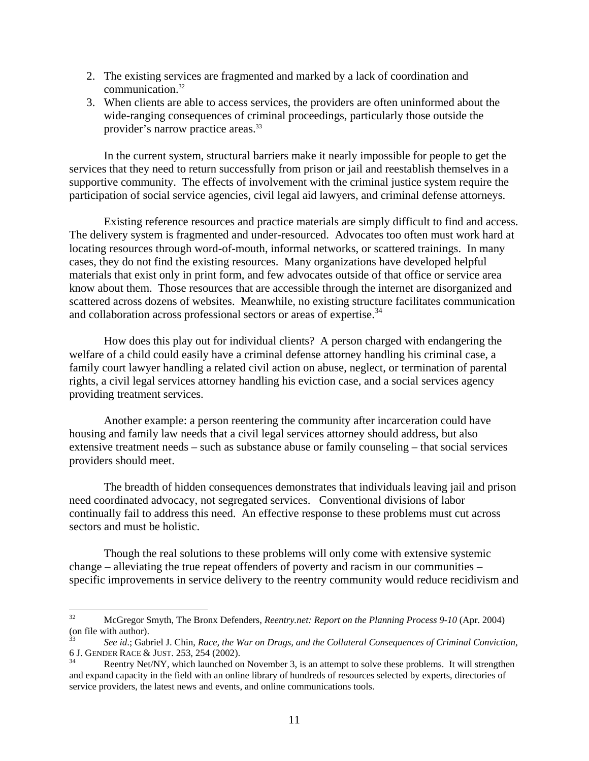- 2. The existing services are fragmented and marked by a lack of coordination and communication.[32](#page-10-0)
- 3. When clients are able to access services, the providers are often uninformed about the wide-ranging consequences of criminal proceedings, particularly those outside the provider's narrow practice areas.<sup>33</sup>

In the current system, structural barriers make it nearly impossible for people to get the services that they need to return successfully from prison or jail and reestablish themselves in a supportive community. The effects of involvement with the criminal justice system require the participation of social service agencies, civil legal aid lawyers, and criminal defense attorneys.

Existing reference resources and practice materials are simply difficult to find and access. The delivery system is fragmented and under-resourced. Advocates too often must work hard at locating resources through word-of-mouth, informal networks, or scattered trainings. In many cases, they do not find the existing resources. Many organizations have developed helpful materials that exist only in print form, and few advocates outside of that office or service area know about them. Those resources that are accessible through the internet are disorganized and scattered across dozens of websites. Meanwhile, no existing structure facilitates communication and collaboration across professional sectors or areas of expertise.<sup>34</sup>

How does this play out for individual clients? A person charged with endangering the welfare of a child could easily have a criminal defense attorney handling his criminal case, a family court lawyer handling a related civil action on abuse, neglect, or termination of parental rights, a civil legal services attorney handling his eviction case, and a social services agency providing treatment services.

Another example: a person reentering the community after incarceration could have housing and family law needs that a civil legal services attorney should address, but also extensive treatment needs – such as substance abuse or family counseling – that social services providers should meet.

The breadth of hidden consequences demonstrates that individuals leaving jail and prison need coordinated advocacy, not segregated services. Conventional divisions of labor continually fail to address this need. An effective response to these problems must cut across sectors and must be holistic.

Though the real solutions to these problems will only come with extensive systemic change – alleviating the true repeat offenders of poverty and racism in our communities – specific improvements in service delivery to the reentry community would reduce recidivism and

<span id="page-10-0"></span> $32<sup>°</sup>$ 32 McGregor Smyth, The Bronx Defenders, *Reentry.net: Report on the Planning Process 9-10* (Apr. 2004) (on file with author). 33 *See id*.; Gabriel J. Chin, *Race, the War on Drugs, and the Collateral Consequences of Criminal Conviction*,

<span id="page-10-1"></span><sup>6</sup> J. GENDER RACE & JUST. 253, 254 (2002).<br><sup>34</sup> Reentry Net/NY, which launched on November 3, is an attempt to solve these problems. It will strengthen

<span id="page-10-2"></span>and expand capacity in the field with an online library of hundreds of resources selected by experts, directories of service providers, the latest news and events, and online communications tools.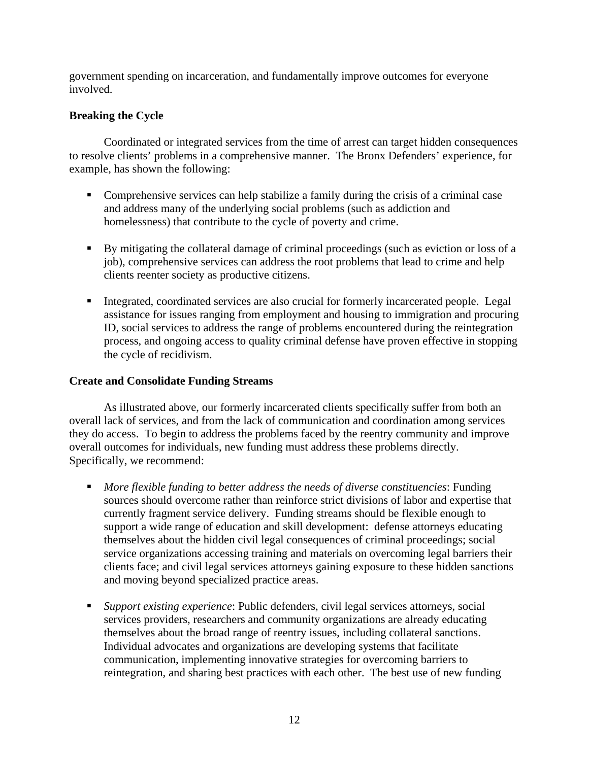government spending on incarceration, and fundamentally improve outcomes for everyone involved.

## **Breaking the Cycle**

Coordinated or integrated services from the time of arrest can target hidden consequences to resolve clients' problems in a comprehensive manner. The Bronx Defenders' experience, for example, has shown the following:

- ! Comprehensive services can help stabilize a family during the crisis of a criminal case and address many of the underlying social problems (such as addiction and homelessness) that contribute to the cycle of poverty and crime.
- ! By mitigating the collateral damage of criminal proceedings (such as eviction or loss of a job), comprehensive services can address the root problems that lead to crime and help clients reenter society as productive citizens.
- ! Integrated, coordinated services are also crucial for formerly incarcerated people. Legal assistance for issues ranging from employment and housing to immigration and procuring ID, social services to address the range of problems encountered during the reintegration process, and ongoing access to quality criminal defense have proven effective in stopping the cycle of recidivism.

### **Create and Consolidate Funding Streams**

As illustrated above, our formerly incarcerated clients specifically suffer from both an overall lack of services, and from the lack of communication and coordination among services they do access. To begin to address the problems faced by the reentry community and improve overall outcomes for individuals, new funding must address these problems directly. Specifically, we recommend:

- ! *More flexible funding to better address the needs of diverse constituencies*: Funding sources should overcome rather than reinforce strict divisions of labor and expertise that currently fragment service delivery. Funding streams should be flexible enough to support a wide range of education and skill development: defense attorneys educating themselves about the hidden civil legal consequences of criminal proceedings; social service organizations accessing training and materials on overcoming legal barriers their clients face; and civil legal services attorneys gaining exposure to these hidden sanctions and moving beyond specialized practice areas.
- ! *Support existing experience*: Public defenders, civil legal services attorneys, social services providers, researchers and community organizations are already educating themselves about the broad range of reentry issues, including collateral sanctions. Individual advocates and organizations are developing systems that facilitate communication, implementing innovative strategies for overcoming barriers to reintegration, and sharing best practices with each other. The best use of new funding